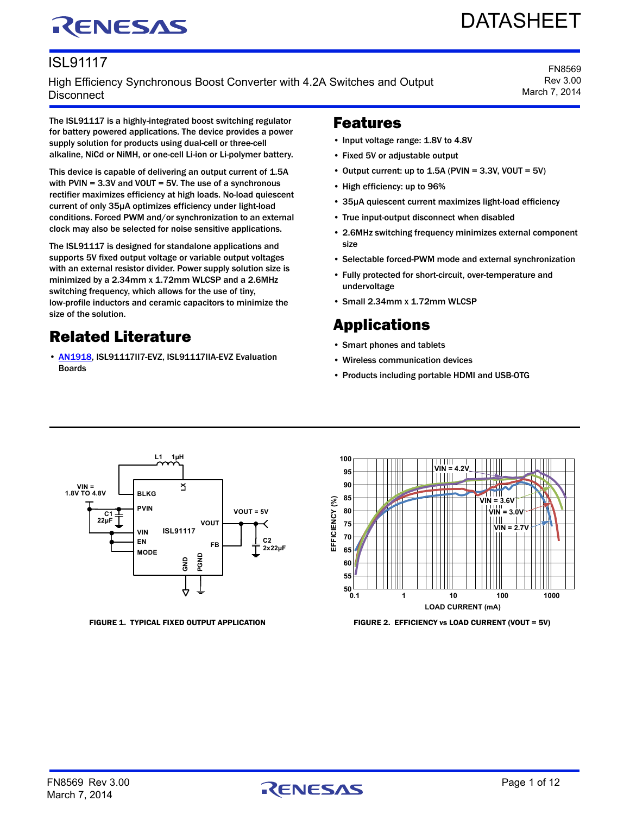# RENESAS

# DATASHEET

FN8569 Rev 3.00 March 7, 2014

### ISL91117

High Efficiency Synchronous Boost Converter with 4.2A Switches and Output **Disconnect** 

The ISL91117 is a highly-integrated boost switching regulator for battery powered applications. The device provides a power supply solution for products using dual-cell or three-cell alkaline, NiCd or NiMH, or one-cell Li-ion or Li-polymer battery.

This device is capable of delivering an output current of 1.5A with PVIN = 3.3V and VOUT = 5V. The use of a synchronous rectifier maximizes efficiency at high loads. No-load quiescent current of only 35µA optimizes efficiency under light-load conditions. Forced PWM and/or synchronization to an external clock may also be selected for noise sensitive applications.

The ISL91117 is designed for standalone applications and supports 5V fixed output voltage or variable output voltages with an external resistor divider. Power supply solution size is minimized by a 2.34mm x 1.72mm WLCSP and a 2.6MHz switching frequency, which allows for the use of tiny, low-profile inductors and ceramic capacitors to minimize the size of the solution.

### Related Literature

• **[AN1918](https://www.intersil.com/content/dam/Intersil/documents/an19/an1918.pdf), ISL91117II7-EVZ, ISL91117IIA-EVZ Evaluation** Boards

### Features

- Input voltage range: 1.8V to 4.8V
- Fixed 5V or adjustable output
- Output current: up to  $1.5A$  (PVIN = 3.3V, VOUT = 5V)
- High efficiency: up to 96%
- 35µA quiescent current maximizes light-load efficiency
- True input-output disconnect when disabled
- 2.6MHz switching frequency minimizes external component size
- Selectable forced-PWM mode and external synchronization
- Fully protected for short-circuit, over-temperature and undervoltage
- Small 2.34mm x 1.72mm WLCSP

### Applications

- Smart phones and tablets
- Wireless communication devices
- Products including portable HDMI and USB-OTG





FIGURE 1. TYPICAL FIXED OUTPUT APPLICATION FIGURE 2. EFFICIENCY vs LOAD CURRENT (VOUT = 5V)

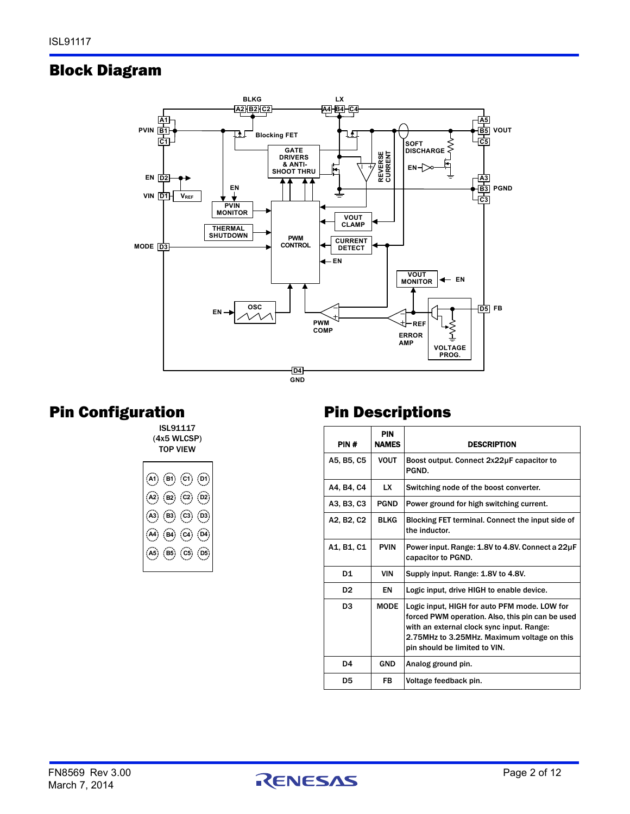### <span id="page-1-0"></span>Block Diagram



### Pin Configuration

ISL91117 (4x5 WLCSP) TOP VIEW

|                                                                                                                   |  | $  \circledA \circledB \circledB \circledB \cdot$ |
|-------------------------------------------------------------------------------------------------------------------|--|---------------------------------------------------|
| $\left( \widehat{A2} \right) \left( \widehat{B2} \right) \left( \widehat{C2} \right) \left( \widehat{D2} \right)$ |  |                                                   |
| $(\mathsf{A3})$ $(\mathsf{B3})$ $(\mathsf{C3})$ $(\mathsf{D3})$                                                   |  |                                                   |
| $(A)$ $(B)$ $(C)$ $(D4)$                                                                                          |  |                                                   |
|                                                                                                                   |  | $(A5)$ $(B5)$ $(C5)$ $(D5)$                       |
|                                                                                                                   |  |                                                   |

### Pin Descriptions

| PIN#           | <b>PIN</b><br><b>NAMES</b> | <b>DESCRIPTION</b>                                                                                                                                                                                                            |
|----------------|----------------------------|-------------------------------------------------------------------------------------------------------------------------------------------------------------------------------------------------------------------------------|
| A5, B5, C5     | <b>VOUT</b>                | Boost output. Connect 2x22uF capacitor to<br>PGND.                                                                                                                                                                            |
| A4, B4, C4     | <b>LX</b>                  | Switching node of the boost converter.                                                                                                                                                                                        |
| A3, B3, C3     | <b>PGND</b>                | Power ground for high switching current.                                                                                                                                                                                      |
| A2, B2, C2     | <b>BLKG</b>                | Blocking FET terminal. Connect the input side of<br>the inductor.                                                                                                                                                             |
| A1, B1, C1     | <b>PVIN</b>                | Power input. Range: 1.8V to 4.8V. Connect a 22µF<br>capacitor to PGND.                                                                                                                                                        |
| D <sub>1</sub> | VIN                        | Supply input. Range: 1.8V to 4.8V.                                                                                                                                                                                            |
| D <sub>2</sub> | EN                         | Logic input, drive HIGH to enable device.                                                                                                                                                                                     |
| D <sub>3</sub> | <b>MODE</b>                | Logic input, HIGH for auto PFM mode. LOW for<br>forced PWM operation. Also, this pin can be used<br>with an external clock sync input. Range:<br>2.75MHz to 3.25MHz. Maximum voltage on this<br>pin should be limited to VIN. |
| D <sub>4</sub> | <b>GND</b>                 | Analog ground pin.                                                                                                                                                                                                            |
| D5             | <b>FB</b>                  | Voltage feedback pin.                                                                                                                                                                                                         |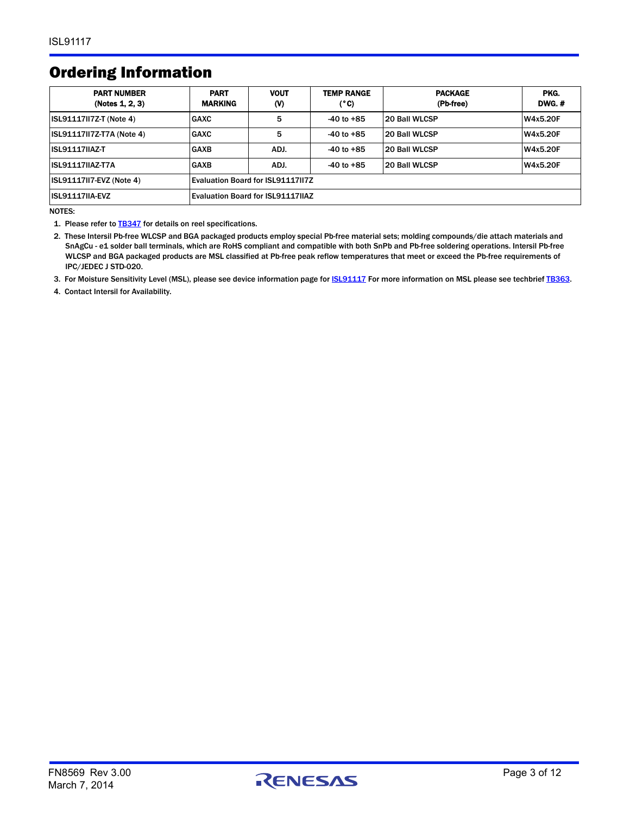### Ordering Information

| <b>PART NUMBER</b><br>(Notes 1, 2, 3) | <b>PART</b><br><b>MARKING</b>            | <b>VOUT</b><br>$\mathbf{w}$ | <b>TEMP RANGE</b><br>(°C) | <b>PACKAGE</b><br>(Pb-free) | PKG.<br><b>DWG.#</b> |
|---------------------------------------|------------------------------------------|-----------------------------|---------------------------|-----------------------------|----------------------|
| <b>ISL91117II7Z-T (Note 4)</b>        | <b>GAXC</b>                              | 5                           | $-40$ to $+85$            | 20 Ball WLCSP               | W4x5.20F             |
| ISL91117II7Z-T7A (Note 4)             | <b>GAXC</b>                              | 5                           | $-40$ to $+85$            | 20 Ball WLCSP               | W4x5.20F             |
| <b>ISL91117IIAZ-T</b>                 | <b>GAXB</b>                              | ADJ.                        | $-40$ to $+85$            | 20 Ball WLCSP               | <b>W4x5.20F</b>      |
| <b>ISL91117IIAZ-T7A</b>               | <b>GAXB</b>                              | ADJ.                        | $-40$ to $+85$            | 20 Ball WLCSP               | W4x5.20F             |
| <b>ISL91117II7-EVZ (Note 4)</b>       | Evaluation Board for ISL91117II7Z        |                             |                           |                             |                      |
| <b>ISL91117IIA-EVZ</b>                | <b>Evaluation Board for ISL91117IIAZ</b> |                             |                           |                             |                      |

NOTES:

<span id="page-2-0"></span>1. Please refer to **[TB347](http://www.intersil.com/data/tb/tb347.pdf)** for details on reel specifications.

<span id="page-2-1"></span>2. These Intersil Pb-free WLCSP and BGA packaged products employ special Pb-free material sets; molding compounds/die attach materials and SnAgCu - e1 solder ball terminals, which are RoHS compliant and compatible with both SnPb and Pb-free soldering operations. Intersil Pb-free WLCSP and BGA packaged products are MSL classified at Pb-free peak reflow temperatures that meet or exceed the Pb-free requirements of IPC/JEDEC J STD-020.

<span id="page-2-2"></span>3. For Moisture Sensitivity Level (MSL), please see device information page for **ISL91117** For more information on MSL please see techbrief [TB363](http://www.intersil.com/data/tb/tb363.pdf).

<span id="page-2-3"></span>4. Contact Intersil for Availability.

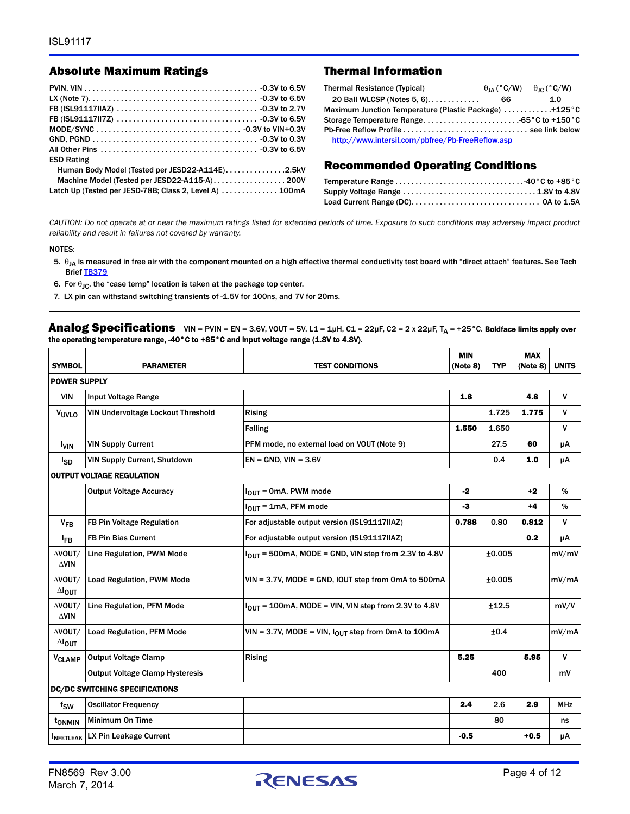#### Absolute Maximum Ratings Thermal Information

| <b>ESD Rating</b>                                       |  |
|---------------------------------------------------------|--|
| Human Body Model (Tested per JESD22-A114E)2.5kV         |  |
|                                                         |  |
| Latch Up (Tested per JESD-78B; Class 2, Level A)  100mA |  |

| <b>Thermal Resistance (Typical)</b>                   |  | $\theta_{IA}$ (°C/W) $\theta_{IC}$ (°C/W) |
|-------------------------------------------------------|--|-------------------------------------------|
| 20 Ball WLCSP (Notes 5, 6).<br>-66                    |  | 1.0                                       |
| Maximum Junction Temperature (Plastic Package) +125°C |  |                                           |
|                                                       |  |                                           |
|                                                       |  |                                           |
| http://www.intersil.com/pbfree/Pb-FreeReflow.asp      |  |                                           |

#### Recommended Operating Conditions

*CAUTION: Do not operate at or near the maximum ratings listed for extended periods of time. Exposure to such conditions may adversely impact product reliability and result in failures not covered by warranty.*

#### NOTES:

- <span id="page-3-1"></span>5.  $\theta_{JA}$  is measured in free air with the component mounted on a high effective thermal conductivity test board with "direct attach" features. See Tech Brief **TB379**
- <span id="page-3-2"></span>6. For  $\theta_{IC}$ , the "case temp" location is taken at the package top center.
- <span id="page-3-0"></span>7. LX pin can withstand switching transients of -1.5V for 100ns, and 7V for 20ms.

**Analog Specifications** VIN = PVIN = EN = 3.6V, VOUT = 5V, L1 = 1µH, C1 = 22µF, C2 = 2 x 22µF, T<sub>A</sub> = +25°C. Boldface limits apply over the operating temperature range, -40°C to +85°C and input voltage range (1.8V to 4.8V).

| <b>SYMBOL</b>                     | <b>PARAMETER</b>                       | <b>TEST CONDITIONS</b>                                     | <b>MIN</b><br>(Note 8) | <b>TYP</b> | <b>MAX</b><br>(Note 8) | <b>UNITS</b> |
|-----------------------------------|----------------------------------------|------------------------------------------------------------|------------------------|------------|------------------------|--------------|
| <b>POWER SUPPLY</b>               |                                        |                                                            |                        |            |                        |              |
| <b>VIN</b>                        | Input Voltage Range                    |                                                            | 1.8                    |            | 4.8                    | $\mathsf{V}$ |
| VUVLO                             | VIN Undervoltage Lockout Threshold     | <b>Rising</b>                                              |                        | 1.725      | 1.775                  | V            |
|                                   |                                        | <b>Falling</b>                                             | 1.550                  | 1.650      |                        | $\mathsf{v}$ |
| <b>VIN</b>                        | <b>VIN Supply Current</b>              | PFM mode, no external load on VOUT (Note 9)                |                        | 27.5       | 60                     | μA           |
| lsp                               | <b>VIN Supply Current, Shutdown</b>    | $EN = GND$ , $VIN = 3.6V$                                  |                        | 0.4        | 1.0                    | μA           |
|                                   | <b>OUTPUT VOLTAGE REGULATION</b>       |                                                            |                        |            |                        |              |
|                                   | <b>Output Voltage Accuracy</b>         | $I_{OUT}$ = 0mA, PWM mode                                  | $-2$                   |            | $+2$                   | %            |
|                                   |                                        | $I_{OUT}$ = 1mA, PFM mode                                  | -3                     |            | $+4$                   | %            |
| $V_{FB}$                          | FB Pin Voltage Regulation              | For adjustable output version (ISL91117IIAZ)               | 0.788                  | 0.80       | 0.812                  | $\mathsf{v}$ |
| $I_{FB}$                          | <b>FB Pin Bias Current</b>             | For adjustable output version (ISL91117IIAZ)               |                        |            | 0.2                    | μA           |
| AVOUT/<br>$\triangle$ VIN         | Line Regulation, PWM Mode              | $IOIII$ = 500mA, MODE = GND, VIN step from 2.3V to 4.8V    |                        | ±0.005     |                        | mV/mV        |
| AVOUT/<br>$\Delta I_{OUT}$        | <b>Load Regulation, PWM Mode</b>       | VIN = 3.7V, MODE = GND, IOUT step from 0mA to 500mA        |                        | ±0.005     |                        | mV/mA        |
| AVOUT/<br>$\triangle$ VIN         | Line Regulation, PFM Mode              | $I_{OIII}$ = 100mA, MODE = VIN, VIN step from 2.3V to 4.8V |                        | ±12.5      |                        | mV/V         |
| AVOUT/<br>$\Delta I_{\text{OUT}}$ | <b>Load Regulation, PFM Mode</b>       | VIN = 3.7V, MODE = VIN, $I_{OUT}$ step from 0mA to 100mA   |                        | ±0.4       |                        | mV/mA        |
| V <sub>CLAMP</sub>                | <b>Output Voltage Clamp</b>            | <b>Rising</b>                                              | 5.25                   |            | 5.95                   | V            |
|                                   | <b>Output Voltage Clamp Hysteresis</b> |                                                            |                        | 400        |                        | mV           |
|                                   | <b>DC/DC SWITCHING SPECIFICATIONS</b>  |                                                            |                        |            |                        |              |
| $f_{SW}$                          | <b>Oscillator Frequency</b>            |                                                            | 2.4                    | 2.6        | 2.9                    | <b>MHz</b>   |
| t <sub>onmin</sub>                | Minimum On Time                        |                                                            |                        | 80         |                        | ns           |
| <b>INFETLEAK</b>                  | LX Pin Leakage Current                 |                                                            | $-0.5$                 |            | $+0.5$                 | μA           |

March 7, 2014

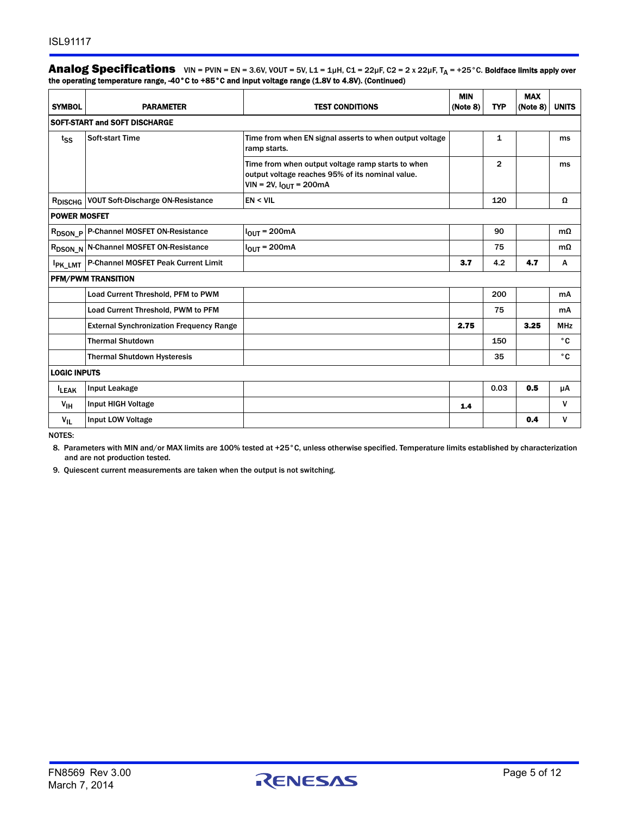#### **Analog Specifications** VIN = PVIN = EN = 3.6V, VOUT = 5V, L1 = 1µH, C1 = 22µF, C2 = 2 x 22µF, T<sub>A</sub> = +25°C. Boldface limits apply over the operating temperature range, -40°C to +85°C and input voltage range (1.8V to 4.8V). (Continued)

| <b>SYMBOL</b>       | <b>PARAMETER</b>                                      | <b>TEST CONDITIONS</b>                                                                                                                  | <b>MIN</b><br>(Note 8) | <b>TYP</b>     | <b>MAX</b><br>(Note 8) | <b>UNITS</b> |
|---------------------|-------------------------------------------------------|-----------------------------------------------------------------------------------------------------------------------------------------|------------------------|----------------|------------------------|--------------|
|                     | SOFT-START and SOFT DISCHARGE                         |                                                                                                                                         |                        |                |                        |              |
| tss                 | <b>Soft-start Time</b>                                | Time from when EN signal asserts to when output voltage<br>ramp starts.                                                                 |                        | 1              |                        | ms           |
|                     |                                                       | Time from when output voltage ramp starts to when<br>output voltage reaches 95% of its nominal value.<br>$VIN = 2V$ , $I_{OUT} = 200mA$ |                        | $\overline{2}$ |                        | ms           |
|                     | R <sub>DISCHG</sub> VOUT Soft-Discharge ON-Resistance | EN < VIL                                                                                                                                |                        | 120            |                        | Ω            |
| <b>POWER MOSFET</b> |                                                       |                                                                                                                                         |                        |                |                        |              |
|                     | R <sub>DSON_P</sub> P-Channel MOSFET ON-Resistance    | $IOIII = 200mA$                                                                                                                         |                        | 90             |                        | $m\Omega$    |
|                     | R <sub>DSON_N</sub> N-Channel MOSFET ON-Resistance    | $IOUT = 200mA$                                                                                                                          |                        | 75             |                        | $m\Omega$    |
| <b>PK_LMT</b>       | P-Channel MOSFET Peak Current Limit                   |                                                                                                                                         | 3.7                    | 4.2            | 4.7                    | A            |
|                     | <b>PFM/PWM TRANSITION</b>                             |                                                                                                                                         |                        |                |                        |              |
|                     | Load Current Threshold, PFM to PWM                    |                                                                                                                                         |                        | 200            |                        | mA           |
|                     | Load Current Threshold, PWM to PFM                    |                                                                                                                                         |                        | 75             |                        | mA           |
|                     | <b>External Synchronization Frequency Range</b>       |                                                                                                                                         | 2.75                   |                | 3.25                   | <b>MHz</b>   |
|                     | <b>Thermal Shutdown</b>                               |                                                                                                                                         |                        | 150            |                        | ۰c           |
|                     | <b>Thermal Shutdown Hysteresis</b>                    |                                                                                                                                         |                        | 35             |                        | ۰c           |
| <b>LOGIC INPUTS</b> |                                                       |                                                                                                                                         |                        |                |                        |              |
| <b>LEAK</b>         | Input Leakage                                         |                                                                                                                                         |                        | 0.03           | 0.5                    | μA           |
| $V_{\text{IH}}$     | <b>Input HIGH Voltage</b>                             |                                                                                                                                         | 1.4                    |                |                        | V            |
| $V_{IL}$            | <b>Input LOW Voltage</b>                              |                                                                                                                                         |                        |                | 0.4                    | v            |
| <b>NOTES:</b>       |                                                       |                                                                                                                                         |                        |                |                        |              |

<span id="page-4-0"></span>8. Parameters with MIN and/or MAX limits are 100% tested at +25°C, unless otherwise specified. Temperature limits established by characterization and are not production tested.

<span id="page-4-1"></span>9. Quiescent current measurements are taken when the output is not switching.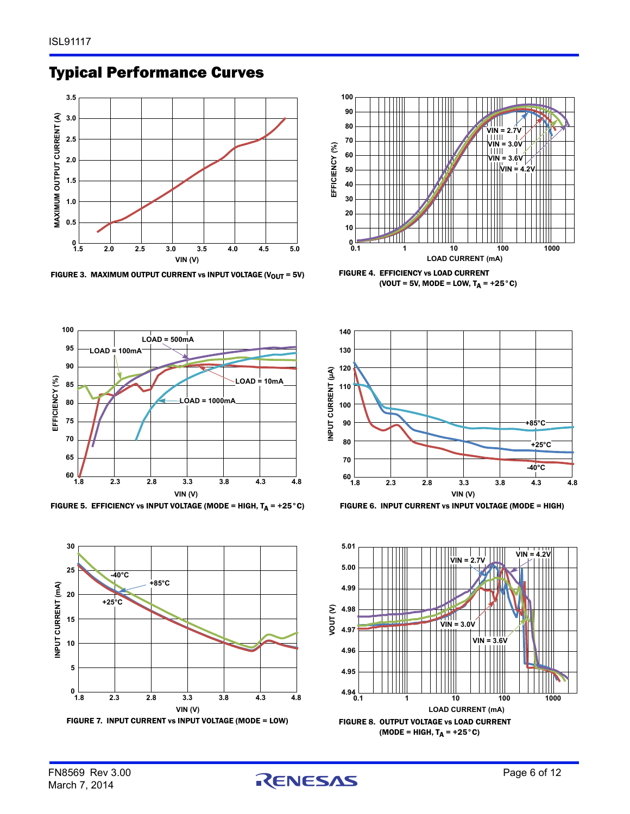

### Typical Performance Curves















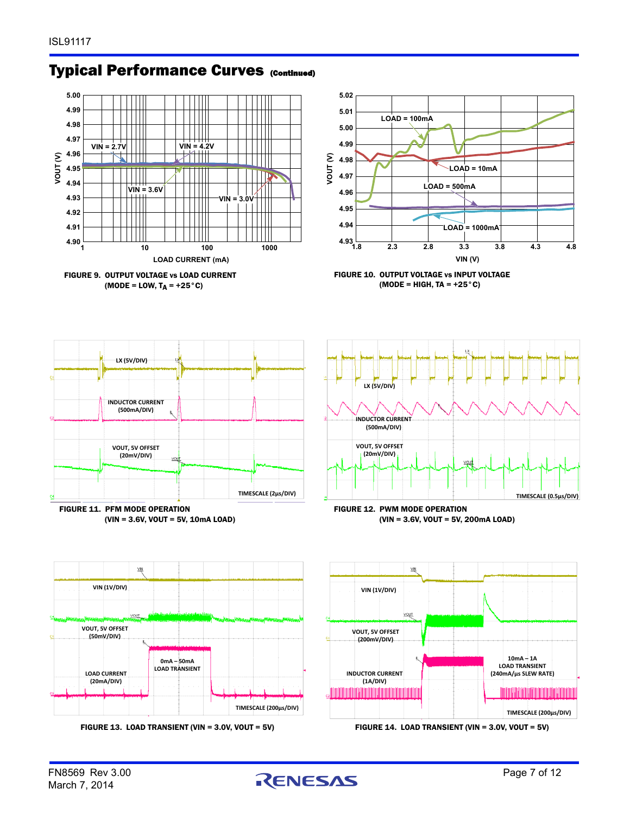

### **Typical Performance Curves (Continued)**







(VIN = 3.6V, VOUT = 5V, 10mA LOAD)













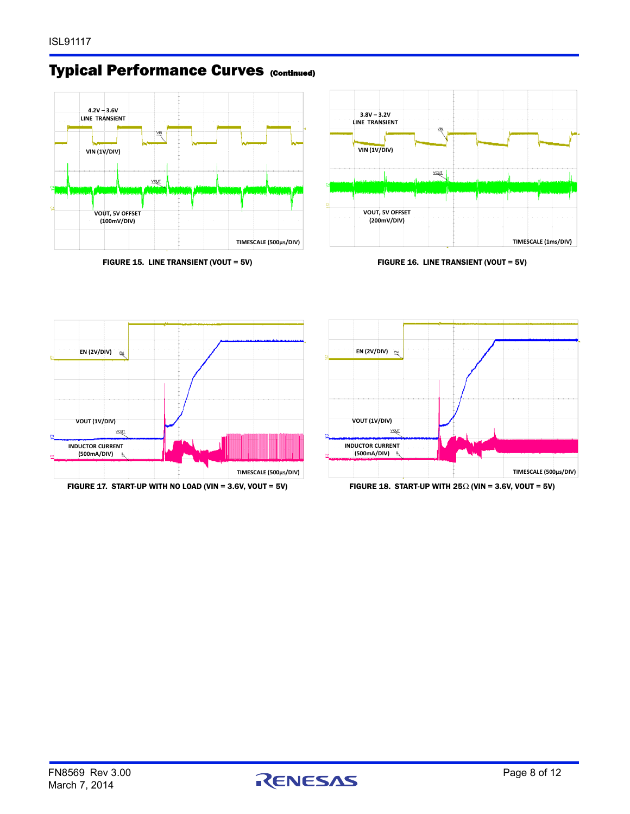### **Typical Performance Curves (Continued)**



FIGURE 15. LINE TRANSIENT (VOUT = 5V) FIGURE 16. LINE TRANSIENT (VOUT = 5V)



<span id="page-7-0"></span>



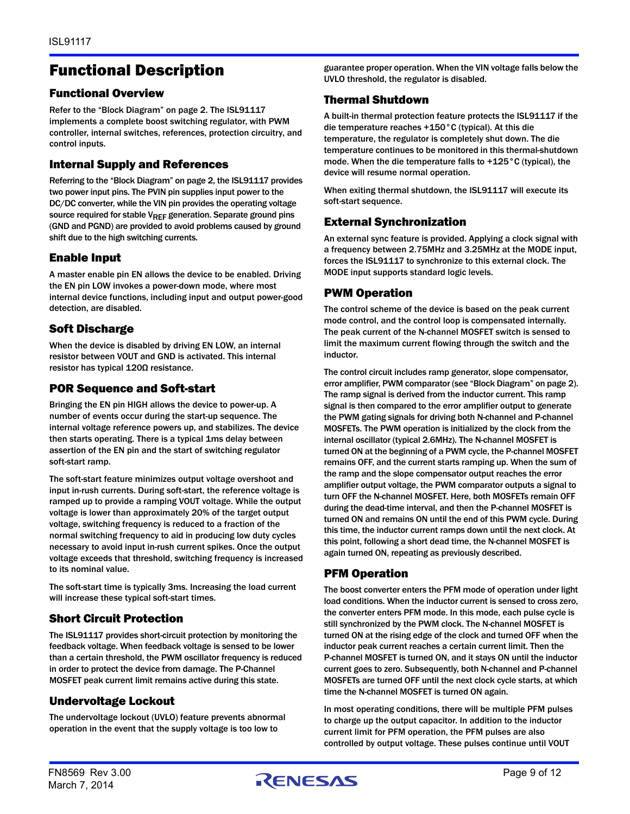### Functional Description

#### Functional Overview

Refer to the ["Block Diagram" on page 2.](#page-1-0) The ISL91117 implements a complete boost switching regulator, with PWM controller, internal switches, references, protection circuitry, and control inputs.

#### Internal Supply and References

Referring to the ["Block Diagram" on page 2](#page-1-0), the ISL91117 provides two power input pins. The PVIN pin supplies input power to the DC/DC converter, while the VIN pin provides the operating voltage source required for stable  $V_{REF}$  generation. Separate ground pins (GND and PGND) are provided to avoid problems caused by ground shift due to the high switching currents.

#### Enable Input

A master enable pin EN allows the device to be enabled. Driving the EN pin LOW invokes a power-down mode, where most internal device functions, including input and output power-good detection, are disabled.

#### Soft Discharge

When the device is disabled by driving EN LOW, an internal resistor between VOUT and GND is activated. This internal resistor has typical 120Ω resistance.

#### POR Sequence and Soft-start

Bringing the EN pin HIGH allows the device to power-up. A number of events occur during the start-up sequence. The internal voltage reference powers up, and stabilizes. The device then starts operating. There is a typical 1ms delay between assertion of the EN pin and the start of switching regulator soft-start ramp.

The soft-start feature minimizes output voltage overshoot and input in-rush currents. During soft-start, the reference voltage is ramped up to provide a ramping VOUT voltage. While the output voltage is lower than approximately 20% of the target output voltage, switching frequency is reduced to a fraction of the normal switching frequency to aid in producing low duty cycles necessary to avoid input in-rush current spikes. Once the output voltage exceeds that threshold, switching frequency is increased to its nominal value.

The soft-start time is typically 3ms. Increasing the load current will increase these typical soft-start times.

### Short Circuit Protection

The ISL91117 provides short-circuit protection by monitoring the feedback voltage. When feedback voltage is sensed to be lower than a certain threshold, the PWM oscillator frequency is reduced in order to protect the device from damage. The P-Channel MOSFET peak current limit remains active during this state.

#### Undervoltage Lockout

The undervoltage lockout (UVLO) feature prevents abnormal operation in the event that the supply voltage is too low to

guarantee proper operation. When the VIN voltage falls below the UVLO threshold, the regulator is disabled.

#### Thermal Shutdown

A built-in thermal protection feature protects the ISL91117 if the die temperature reaches +150°C (typical). At this die temperature, the regulator is completely shut down. The die temperature continues to be monitored in this thermal-shutdown mode. When the die temperature falls to +125°C (typical), the device will resume normal operation.

When exiting thermal shutdown, the ISL91117 will execute its soft-start sequence.

#### External Synchronization

An external sync feature is provided. Applying a clock signal with a frequency between 2.75MHz and 3.25MHz at the MODE input, forces the ISL91117 to synchronize to this external clock. The MODE input supports standard logic levels.

#### PWM Operation

The control scheme of the device is based on the peak current mode control, and the control loop is compensated internally. The peak current of the N-channel MOSFET switch is sensed to limit the maximum current flowing through the switch and the inductor.

The control circuit includes ramp generator, slope compensator, error amplifier, PWM comparator (see ["Block Diagram" on page 2\)](#page-1-0). The ramp signal is derived from the inductor current. This ramp signal is then compared to the error amplifier output to generate the PWM gating signals for driving both N-channel and P-channel MOSFETs. The PWM operation is initialized by the clock from the internal oscillator (typical 2.6MHz). The N-channel MOSFET is turned ON at the beginning of a PWM cycle, the P-channel MOSFET remains OFF, and the current starts ramping up. When the sum of the ramp and the slope compensator output reaches the error amplifier output voltage, the PWM comparator outputs a signal to turn OFF the N-channel MOSFET. Here, both MOSFETs remain OFF during the dead-time interval, and then the P-channel MOSFET is turned ON and remains ON until the end of this PWM cycle. During this time, the inductor current ramps down until the next clock. At this point, following a short dead time, the N-channel MOSFET is again turned ON, repeating as previously described.

#### PFM Operation

The boost converter enters the PFM mode of operation under light load conditions. When the inductor current is sensed to cross zero, the converter enters PFM mode. In this mode, each pulse cycle is still synchronized by the PWM clock. The N-channel MOSFET is turned ON at the rising edge of the clock and turned OFF when the inductor peak current reaches a certain current limit. Then the P-channel MOSFET is turned ON, and it stays ON until the inductor current goes to zero. Subsequently, both N-channel and P-channel MOSFETs are turned OFF until the next clock cycle starts, at which time the N-channel MOSFET is turned ON again.

In most operating conditions, there will be multiple PFM pulses to charge up the output capacitor. In addition to the inductor current limit for PFM operation, the PFM pulses are also controlled by output voltage. These pulses continue until VOUT

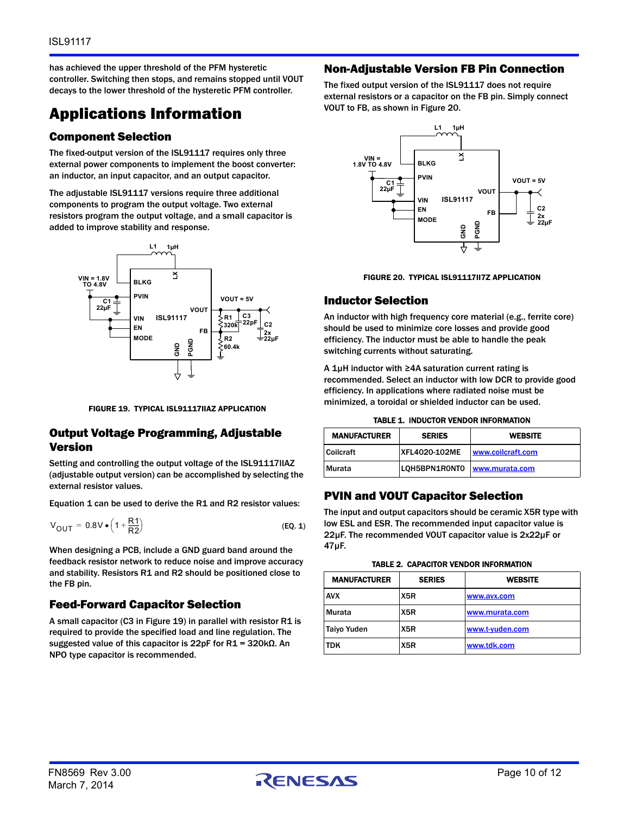has achieved the upper threshold of the PFM hysteretic controller. Switching then stops, and remains stopped until VOUT decays to the lower threshold of the hysteretic PFM controller.

## Applications Information

#### Component Selection

The fixed-output version of the ISL91117 requires only three external power components to implement the boost converter: an inductor, an input capacitor, and an output capacitor.

The adjustable ISL91117 versions require three additional components to program the output voltage. Two external resistors program the output voltage, and a small capacitor is added to improve stability and response.



FIGURE 19. TYPICAL ISL91117IIAZ APPLICATION

#### <span id="page-9-0"></span>Output Voltage Programming, Adjustable Version

Setting and controlling the output voltage of the ISL91117IIAZ (adjustable output version) can be accomplished by selecting the external resistor values.

Equation [1](#page-9-2) can be used to derive the R1 and R2 resistor values:

$$
V_{\text{OUT}} = 0.8V \bullet \left(1 + \frac{R1}{R2}\right) \tag{Eq. 1}
$$

When designing a PCB, include a GND guard band around the feedback resistor network to reduce noise and improve accuracy and stability. Resistors R1 and R2 should be positioned close to the FB pin.

#### Feed-Forward Capacitor Selection

A small capacitor (C3 in Figure [19](#page-9-0)) in parallel with resistor R1 is required to provide the specified load and line regulation. The suggested value of this capacitor is 22pF for R1 = 320kΩ. An NPO type capacitor is recommended.

#### Non-Adjustable Version FB Pin Connection

The fixed output version of the ISL91117 does not require external resistors or a capacitor on the FB pin. Simply connect VOUT to FB, as shown in Figure [20.](#page-9-1)





#### <span id="page-9-1"></span>Inductor Selection

An inductor with high frequency core material (e.g., ferrite core) should be used to minimize core losses and provide good efficiency. The inductor must be able to handle the peak switching currents without saturating.

A 1µH inductor with ≥4A saturation current rating is recommended. Select an inductor with low DCR to provide good efficiency. In applications where radiated noise must be minimized, a toroidal or shielded inductor can be used.

| <b>MANUFACTURER</b> | <b>SERIES</b>        | <b>WEBSITE</b>    |
|---------------------|----------------------|-------------------|
| Coilcraft           | <b>XFL4020-102ME</b> | www.coilcraft.com |
| Murata              | LOH5BPN1RONTO        | www.murata.com    |

#### PVIN and VOUT Capacitor Selection

<span id="page-9-2"></span>The input and output capacitors should be ceramic X5R type with low ESL and ESR. The recommended input capacitor value is 22µF. The recommended VOUT capacitor value is 2x22µF or 47µF.

|  | TABLE 2.  CAPACITOR VENDOR INFORMATION |
|--|----------------------------------------|
|  |                                        |

| <b>MANUFACTURER</b> | <b>SERIES</b> | <b>WEBSITE</b>  |
|---------------------|---------------|-----------------|
| <b>AVX</b>          | X5R           | www.avx.com     |
| <b>Murata</b>       | X5R           | www.murata.com  |
| <b>Taiyo Yuden</b>  | X5R           | www.t-yuden.com |
| <b>TDK</b>          | X5R           | www.tdk.com     |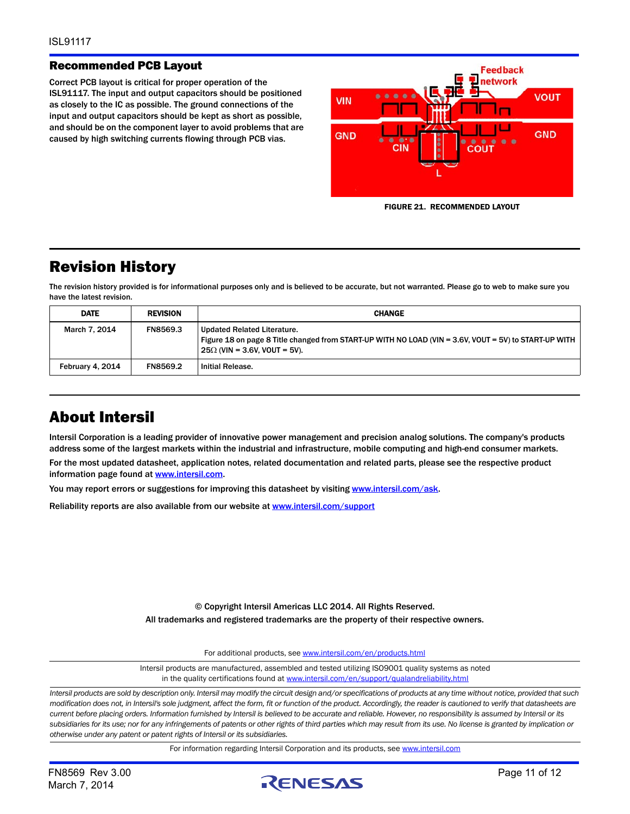#### Recommended PCB Layout

Correct PCB layout is critical for proper operation of the ISL91117. The input and output capacitors should be positioned as closely to the IC as possible. The ground connections of the input and output capacitors should be kept as short as possible, and should be on the component layer to avoid problems that are caused by high switching currents flowing through PCB vias.



FIGURE 21. RECOMMENDED LAYOUT

### Revision History

The revision history provided is for informational purposes only and is believed to be accurate, but not warranted. Please go to web to make sure you have the latest revision.

| <b>DATE</b>      | <b>REVISION</b> | <b>CHANGE</b>                                                                                                                                                               |
|------------------|-----------------|-----------------------------------------------------------------------------------------------------------------------------------------------------------------------------|
| March 7, 2014    | FN8569.3        | Updated Related Literature.<br>Figure 18 on page 8 Title changed from START-UP WITH NO LOAD (VIN = 3.6V, VOUT = 5V) to START-UP WITH<br>$25\Omega$ (VIN = 3.6V, VOUT = 5V). |
| February 4, 2014 | FN8569.2        | Initial Release.                                                                                                                                                            |

### About Intersil

Intersil Corporation is a leading provider of innovative power management and precision analog solutions. The company's products address some of the largest markets within the industrial and infrastructure, mobile computing and high-end consumer markets.

For the most updated datasheet, application notes, related documentation and related parts, please see the respective product information page found at [www.intersil.com.](www.intersil.com)

You may report errors or suggestions for improving this datasheet by visiting [www.intersil.com/ask](http://www.intersil.com/en/support/support-faqs.html?p_page=ask.php&p_prods=679&p_icf_7=ISL91117).

Reliability reports are also available from our website at [www.intersil.com/support](http://www.intersil.com/en/support/qualandreliability.html#reliability)

© Copyright Intersil Americas LLC 2014. All Rights Reserved. All trademarks and registered trademarks are the property of their respective owners.

For additional products, see [www.intersil.com/en/products.html](http://www.intersil.com/en/products.html?utm_source=Intersil&utm_medium=datasheet&utm_campaign=disclaimer-ds-footer)

[Intersil products are manufactured, assembled and tested utilizing ISO9001 quality systems as noted](http://www.intersil.com/en/products.html?utm_source=Intersil&utm_medium=datasheet&utm_campaign=disclaimer-ds-footer) in the quality certifications found at [www.intersil.com/en/support/qualandreliability.html](http://www.intersil.com/en/support/qualandreliability.html?utm_source=Intersil&utm_medium=datasheet&utm_campaign=disclaimer-ds-footer)

*Intersil products are sold by description only. Intersil may modify the circuit design and/or specifications of products at any time without notice, provided that such modification does not, in Intersil's sole judgment, affect the form, fit or function of the product. Accordingly, the reader is cautioned to verify that datasheets are current before placing orders. Information furnished by Intersil is believed to be accurate and reliable. However, no responsibility is assumed by Intersil or its subsidiaries for its use; nor for any infringements of patents or other rights of third parties which may result from its use. No license is granted by implication or otherwise under any patent or patent rights of Intersil or its subsidiaries.*

For information regarding Intersil Corporation and its products, see [www.intersil.com](http://www.intersil.com?utm_source=intersil&utm_medium=datasheet&utm_campaign=disclaimer-ds-footer)